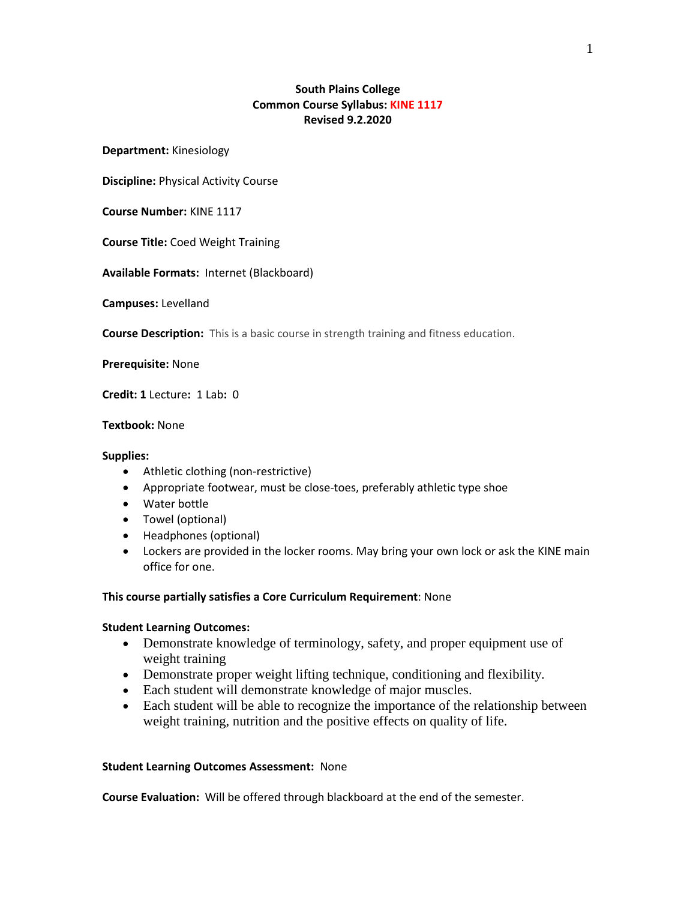# **South Plains College Common Course Syllabus: KINE 1117 Revised 9.2.2020**

**Department:** Kinesiology

**Discipline:** Physical Activity Course

**Course Number:** KINE 1117

**Course Title:** Coed Weight Training

**Available Formats:** Internet (Blackboard)

**Campuses:** Levelland

**Course Description:** This is a basic course in strength training and fitness education.

**Prerequisite:** None

**Credit: 1** Lecture**:** 1 Lab**:** 0

# **Textbook:** None

#### **Supplies:**

- Athletic clothing (non-restrictive)
- Appropriate footwear, must be close-toes, preferably athletic type shoe
- Water bottle
- Towel (optional)
- Headphones (optional)
- Lockers are provided in the locker rooms. May bring your own lock or ask the KINE main office for one.

## **This course partially satisfies a Core Curriculum Requirement**: None

## **Student Learning Outcomes:**

- Demonstrate knowledge of terminology, safety, and proper equipment use of weight training
- Demonstrate proper weight lifting technique, conditioning and flexibility.
- Each student will demonstrate knowledge of major muscles.
- Each student will be able to recognize the importance of the relationship between weight training, nutrition and the positive effects on quality of life.

#### **Student Learning Outcomes Assessment:** None

**Course Evaluation:** Will be offered through blackboard at the end of the semester.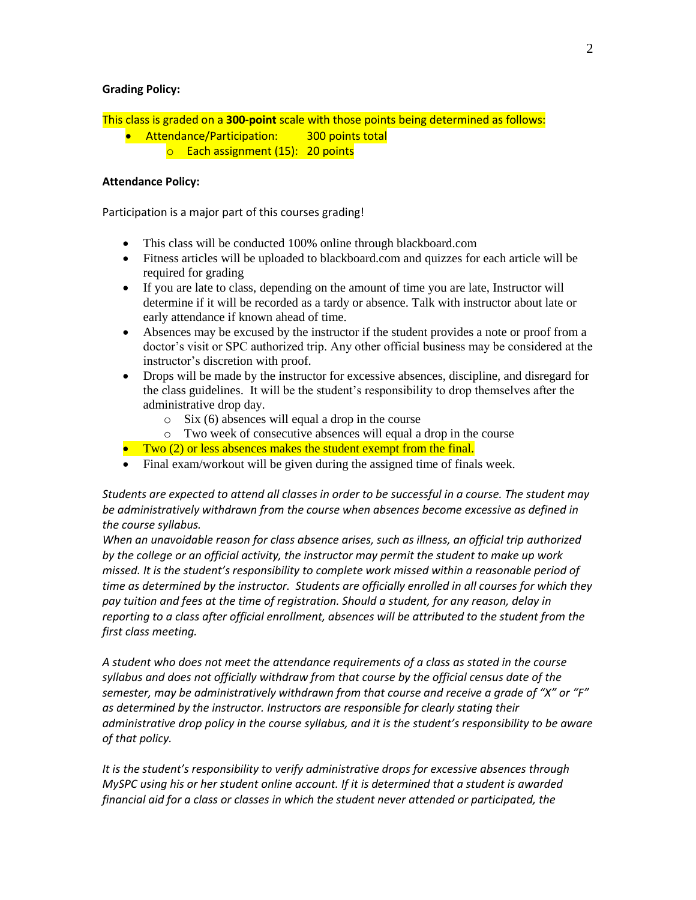## **Grading Policy:**

This class is graded on a **300-point** scale with those points being determined as follows:

- **Attendance/Participation:** 300 points total
	- o Each assignment (15): 20 points

# **Attendance Policy:**

Participation is a major part of this courses grading!

- This class will be conducted 100% online through blackboard.com
- Fitness articles will be uploaded to blackboard.com and quizzes for each article will be required for grading
- If you are late to class, depending on the amount of time you are late, Instructor will determine if it will be recorded as a tardy or absence. Talk with instructor about late or early attendance if known ahead of time.
- Absences may be excused by the instructor if the student provides a note or proof from a doctor's visit or SPC authorized trip. Any other official business may be considered at the instructor's discretion with proof.
- Drops will be made by the instructor for excessive absences, discipline, and disregard for the class guidelines. It will be the student's responsibility to drop themselves after the administrative drop day.
	- o Six (6) absences will equal a drop in the course
	- o Two week of consecutive absences will equal a drop in the course
- $\bullet$  Two (2) or less absences makes the student exempt from the final.
- Final exam/workout will be given during the assigned time of finals week.

*Students are expected to attend all classes in order to be successful in a course. The student may be administratively withdrawn from the course when absences become excessive as defined in the course syllabus.*

*When an unavoidable reason for class absence arises, such as illness, an official trip authorized by the college or an official activity, the instructor may permit the student to make up work missed. It is the student's responsibility to complete work missed within a reasonable period of time as determined by the instructor. Students are officially enrolled in all courses for which they pay tuition and fees at the time of registration. Should a student, for any reason, delay in reporting to a class after official enrollment, absences will be attributed to the student from the first class meeting.*

*A student who does not meet the attendance requirements of a class as stated in the course syllabus and does not officially withdraw from that course by the official census date of the semester, may be administratively withdrawn from that course and receive a grade of "X" or "F" as determined by the instructor. Instructors are responsible for clearly stating their administrative drop policy in the course syllabus, and it is the student's responsibility to be aware of that policy.* 

*It is the student's responsibility to verify administrative drops for excessive absences through MySPC using his or her student online account. If it is determined that a student is awarded financial aid for a class or classes in which the student never attended or participated, the*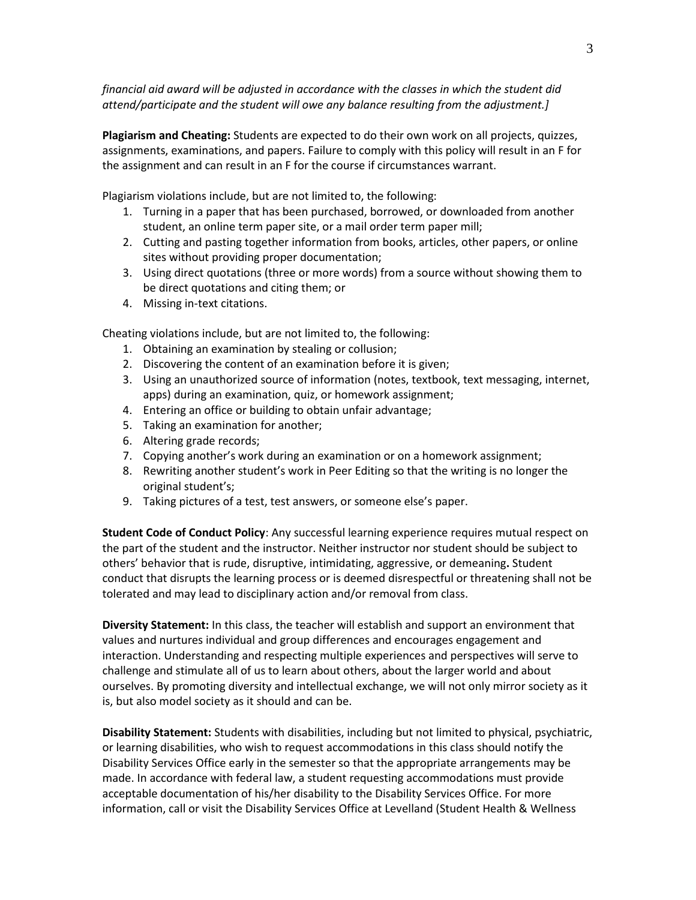*financial aid award will be adjusted in accordance with the classes in which the student did attend/participate and the student will owe any balance resulting from the adjustment.]*

**Plagiarism and Cheating:** Students are expected to do their own work on all projects, quizzes, assignments, examinations, and papers. Failure to comply with this policy will result in an F for the assignment and can result in an F for the course if circumstances warrant.

Plagiarism violations include, but are not limited to, the following:

- 1. Turning in a paper that has been purchased, borrowed, or downloaded from another student, an online term paper site, or a mail order term paper mill;
- 2. Cutting and pasting together information from books, articles, other papers, or online sites without providing proper documentation;
- 3. Using direct quotations (three or more words) from a source without showing them to be direct quotations and citing them; or
- 4. Missing in-text citations.

Cheating violations include, but are not limited to, the following:

- 1. Obtaining an examination by stealing or collusion;
- 2. Discovering the content of an examination before it is given;
- 3. Using an unauthorized source of information (notes, textbook, text messaging, internet, apps) during an examination, quiz, or homework assignment;
- 4. Entering an office or building to obtain unfair advantage;
- 5. Taking an examination for another;
- 6. Altering grade records;
- 7. Copying another's work during an examination or on a homework assignment;
- 8. Rewriting another student's work in Peer Editing so that the writing is no longer the original student's;
- 9. Taking pictures of a test, test answers, or someone else's paper.

**Student Code of Conduct Policy**: Any successful learning experience requires mutual respect on the part of the student and the instructor. Neither instructor nor student should be subject to others' behavior that is rude, disruptive, intimidating, aggressive, or demeaning**.** Student conduct that disrupts the learning process or is deemed disrespectful or threatening shall not be tolerated and may lead to disciplinary action and/or removal from class.

**Diversity Statement:** In this class, the teacher will establish and support an environment that values and nurtures individual and group differences and encourages engagement and interaction. Understanding and respecting multiple experiences and perspectives will serve to challenge and stimulate all of us to learn about others, about the larger world and about ourselves. By promoting diversity and intellectual exchange, we will not only mirror society as it is, but also model society as it should and can be.

**Disability Statement:** Students with disabilities, including but not limited to physical, psychiatric, or learning disabilities, who wish to request accommodations in this class should notify the Disability Services Office early in the semester so that the appropriate arrangements may be made. In accordance with federal law, a student requesting accommodations must provide acceptable documentation of his/her disability to the Disability Services Office. For more information, call or visit the Disability Services Office at Levelland (Student Health & Wellness